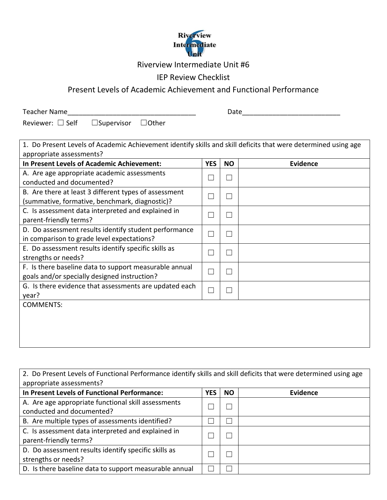

## Riverview Intermediate Unit #6

## IEP Review Checklist

## Present Levels of Academic Achievement and Functional Performance

Teacher Name\_\_\_\_\_\_\_\_\_\_\_\_\_\_\_\_\_\_\_\_\_\_\_\_\_\_\_\_\_\_\_\_\_\_ Date\_\_\_\_\_\_\_\_\_\_\_\_\_\_\_\_\_\_\_\_\_\_\_\_\_\_

Reviewer: □ Self □ Supervisor □ Other

| 1. Do Present Levels of Academic Achievement identify skills and skill deficits that were determined using age |            |                          |                 |  |
|----------------------------------------------------------------------------------------------------------------|------------|--------------------------|-----------------|--|
| appropriate assessments?                                                                                       |            |                          |                 |  |
| In Present Levels of Academic Achievement:                                                                     | <b>YES</b> | <b>NO</b>                | <b>Evidence</b> |  |
| A. Are age appropriate academic assessments                                                                    |            | $\mathbf{L}$             |                 |  |
| conducted and documented?                                                                                      |            |                          |                 |  |
| B. Are there at least 3 different types of assessment                                                          |            | $\Box$                   |                 |  |
| (summative, formative, benchmark, diagnostic)?                                                                 |            |                          |                 |  |
| C. Is assessment data interpreted and explained in                                                             |            |                          |                 |  |
| parent-friendly terms?                                                                                         |            |                          |                 |  |
| D. Do assessment results identify student performance                                                          |            | П                        |                 |  |
| in comparison to grade level expectations?                                                                     |            |                          |                 |  |
| E. Do assessment results identify specific skills as                                                           |            |                          |                 |  |
| strengths or needs?                                                                                            |            |                          |                 |  |
| F. Is there baseline data to support measurable annual                                                         |            | $\overline{\phantom{a}}$ |                 |  |
| goals and/or specially designed instruction?                                                                   |            |                          |                 |  |
| G. Is there evidence that assessments are updated each                                                         |            |                          |                 |  |
| year?                                                                                                          |            |                          |                 |  |
| <b>COMMENTS:</b>                                                                                               |            |                          |                 |  |
|                                                                                                                |            |                          |                 |  |
|                                                                                                                |            |                          |                 |  |
|                                                                                                                |            |                          |                 |  |
|                                                                                                                |            |                          |                 |  |

| 2. Do Present Levels of Functional Performance identify skills and skill deficits that were determined using age<br>appropriate assessments? |            |           |                 |  |
|----------------------------------------------------------------------------------------------------------------------------------------------|------------|-----------|-----------------|--|
| In Present Levels of Functional Performance:                                                                                                 | <b>YES</b> | <b>NO</b> | <b>Evidence</b> |  |
| A. Are age appropriate functional skill assessments<br>conducted and documented?                                                             |            |           |                 |  |
| B. Are multiple types of assessments identified?                                                                                             |            |           |                 |  |
| C. Is assessment data interpreted and explained in<br>parent-friendly terms?                                                                 |            |           |                 |  |
| D. Do assessment results identify specific skills as<br>strengths or needs?                                                                  |            |           |                 |  |
| D. Is there baseline data to support measurable annual                                                                                       |            |           |                 |  |

┑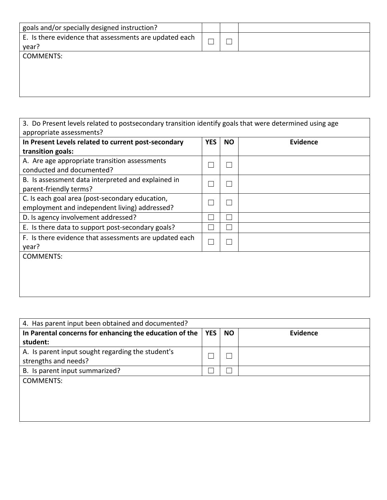| goals and/or specially designed instruction?           |  |  |
|--------------------------------------------------------|--|--|
| E. Is there evidence that assessments are updated each |  |  |
| year?                                                  |  |  |
| <b>COMMENTS:</b>                                       |  |  |
|                                                        |  |  |
|                                                        |  |  |
|                                                        |  |  |
|                                                        |  |  |

| In Present Levels related to current post-secondary                                              | <b>YES</b> | <b>NO</b> | <b>Evidence</b> |
|--------------------------------------------------------------------------------------------------|------------|-----------|-----------------|
| transition goals:                                                                                |            |           |                 |
| A. Are age appropriate transition assessments<br>conducted and documented?                       |            |           |                 |
| B. Is assessment data interpreted and explained in<br>parent-friendly terms?                     |            |           |                 |
| C. Is each goal area (post-secondary education,<br>employment and independent living) addressed? |            |           |                 |
| D. Is agency involvement addressed?                                                              |            |           |                 |
| E. Is there data to support post-secondary goals?                                                |            |           |                 |
| F. Is there evidence that assessments are updated each<br>year?                                  |            |           |                 |
| <b>COMMENTS:</b>                                                                                 |            |           |                 |

| 4. Has parent input been obtained and documented?                         |            |           |          |
|---------------------------------------------------------------------------|------------|-----------|----------|
| In Parental concerns for enhancing the education of the                   | <b>YES</b> | <b>NO</b> | Evidence |
| student:                                                                  |            |           |          |
| A. Is parent input sought regarding the student's<br>strengths and needs? |            |           |          |
| B. Is parent input summarized?                                            |            |           |          |
| <b>COMMENTS:</b>                                                          |            |           |          |